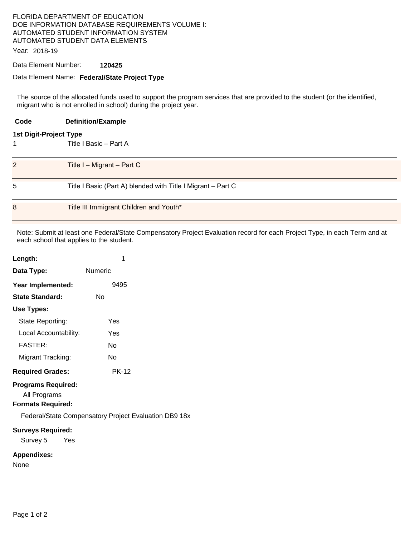## FLORIDA DEPARTMENT OF EDUCATION DOE INFORMATION DATABASE REQUIREMENTS VOLUME I: AUTOMATED STUDENT INFORMATION SYSTEM AUTOMATED STUDENT DATA ELEMENTS

Year: 2018-19

## Data Element Number: **120425**

## Data Element Name: **Federal/State Project Type**

The source of the allocated funds used to support the program services that are provided to the student (or the identified, migrant who is not enrolled in school) during the project year.

| Code                          | <b>Definition/Example</b>                                    |  |  |
|-------------------------------|--------------------------------------------------------------|--|--|
| <b>1st Digit-Project Type</b> |                                                              |  |  |
|                               | Title I Basic - Part A                                       |  |  |
|                               |                                                              |  |  |
| 2                             | Title $I - Migrant - Part C$                                 |  |  |
|                               |                                                              |  |  |
| 5                             | Title I Basic (Part A) blended with Title I Migrant - Part C |  |  |
|                               |                                                              |  |  |
| 8                             | Title III Immigrant Children and Youth*                      |  |  |
|                               |                                                              |  |  |

Note: Submit at least one Federal/State Compensatory Project Evaluation record for each Project Type, in each Term and at each school that applies to the student.

| Length:                   | 1       |  |  |  |
|---------------------------|---------|--|--|--|
| Data Type:                | Numeric |  |  |  |
| Year Implemented:         | 9495    |  |  |  |
| State Standard:           | N٥      |  |  |  |
| Use Types:                |         |  |  |  |
| State Reporting:          | Yes     |  |  |  |
| Local Accountability:     | Yes     |  |  |  |
| <b>FASTER:</b>            | N٥      |  |  |  |
| Migrant Tracking:         | N٥      |  |  |  |
| <b>Required Grades:</b>   | PK-12   |  |  |  |
| <b>Programs Required:</b> |         |  |  |  |

### All Programs **Formats Required:**

Federal/State Compensatory Project Evaluation DB9 18x

#### **Surveys Required:**

Survey 5 Yes

#### **Appendixes:**

None